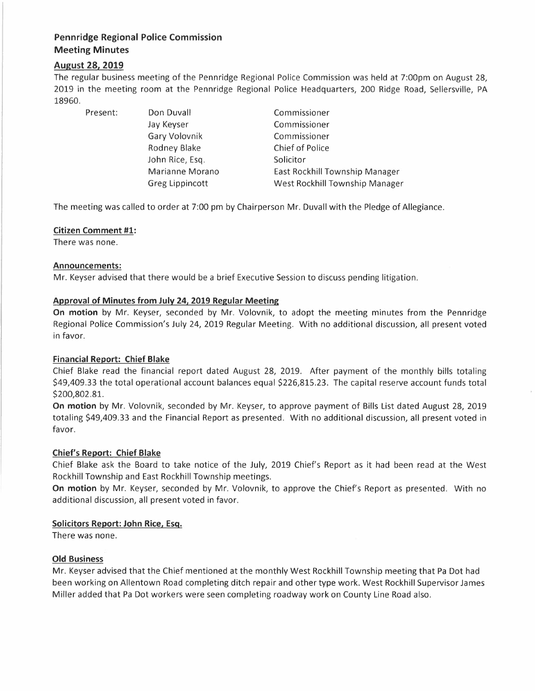# **Pennridge Regional Police Commission Meeting Minutes**

# **August 28, 2019**

The regular business meeting of the Pennridge Regional Police Commission was held at 7:00pm on August 28, 2019 in the meeting room at the Pennridge Regional Police Headquarters, 200 Ridge Road, Sellersville, PA 18960.

Present: Don Duvall

Jay Keyser Gary Volovnik Rodney Blake John Rice, Esq. Marianne Morano Greg Lippincott

Commissioner Commissioner Commissioner Chief of Police Solicitor East Rockhill Township Manager West Rockhill Township Manager

The meeting was called to order at 7:00 pm by Chairperson Mr. Duvall with the Pledge of Allegiance.

# **Citizen Comment #1:**

There was none.

#### **Announcements:**

Mr. Keyser advised that there would be a brief Executive Session to discuss pending litigation.

# **Approval of Minutes from July 24, 2019 Regular Meeting**

**On motion** by Mr. Keyser, seconded by Mr. Volovnik, to adopt the meeting minutes from the Pennridge Regional Police Commission's July 24, 2019 Regular Meeting. With no additional discussion, all present voted in favor.

# **Financial Report: Chief Blake**

Chief Blake read the financial report dated August 28, 2019. After payment of the monthly bills totaling \$49,409.33 the total operational account balances equal \$226,815.23. The capital reserve account funds total \$200,802.81.

**On motion** by Mr. Volovnik, seconded by Mr. Keyser, to approve payment of Bills List dated August 28, 2019 totaling \$49,409.33 and the Financial Report as presented. With no additional discussion, all present voted in favor.

# **Chief's Report: Chief Blake**

Chief Blake ask the Board to take notice of the July, 2019 Chief's Report as it had been read at the West Rockhill Township and East Rockhill Township meetings.

**On motion** by Mr. Keyser, seconded by Mr. Volovnik, to approve the Chief's Report as presented. With no additional discussion, all present voted in favor.

# **Solicitors Report: John Rice, Esq.**

There was none.

# **Old Business**

Mr. Keyser advised that the Chief mentioned at the monthly West Rockhill Township meeting that Pa Dot had been working on Allentown Road completing ditch repair and other type work. West Rockhill Supervisor James Miller added that Pa Dot workers were seen completing roadway work on County Line Road also.